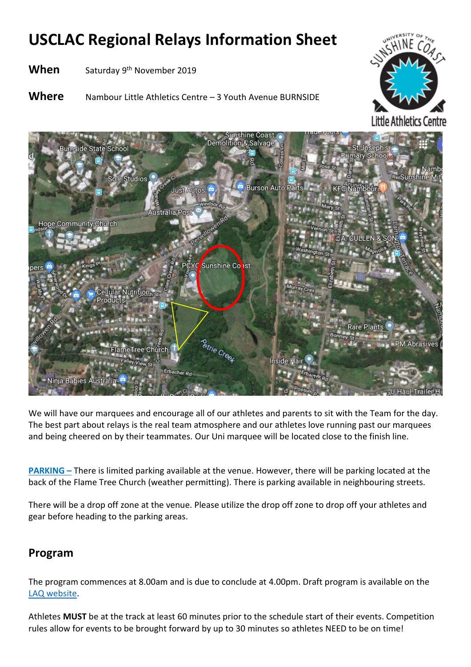# **USCLAC Regional Relays Information Sheet**

**When** Saturday 9<sup>th</sup> November 2019

**Where** Nambour Little Athletics Centre – 3 Youth Avenue BURNSIDE





We will have our marquees and encourage all of our athletes and parents to sit with the Team for the day. The best part about relays is the real team atmosphere and our athletes love running past our marquees and being cheered on by their teammates. Our Uni marquee will be located close to the finish line.

**PARKING** – There is limited parking available at the venue. However, there will be parking located at the back of the Flame Tree Church (weather permitting). There is parking available in neighbouring streets.

There will be a drop off zone at the venue. Please utilize the drop off zone to drop off your athletes and gear before heading to the parking areas.

### **Program**

The program commences at 8.00am and is due to conclude at 4.00pm. Draft program is available on the [LAQ website.](https://laq.org.au/event/laq-suncoast-regional-relays/)

Athletes **MUST** be at the track at least 60 minutes prior to the schedule start of their events. Competition rules allow for events to be brought forward by up to 30 minutes so athletes NEED to be on time!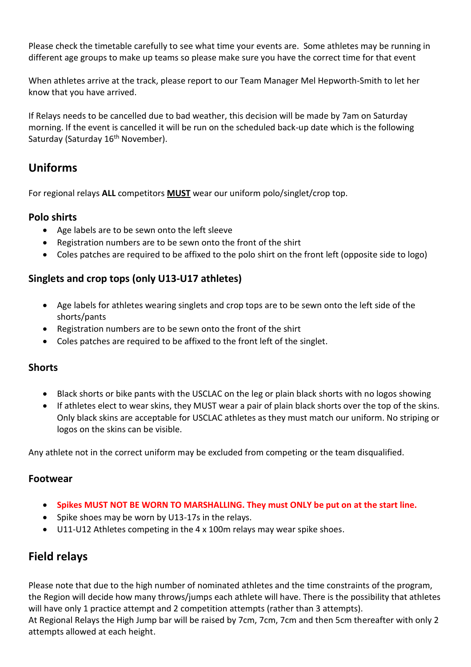Please check the timetable carefully to see what time your events are. Some athletes may be running in different age groups to make up teams so please make sure you have the correct time for that event

When athletes arrive at the track, please report to our Team Manager Mel Hepworth-Smith to let her know that you have arrived.

If Relays needs to be cancelled due to bad weather, this decision will be made by 7am on Saturday morning. If the event is cancelled it will be run on the scheduled back-up date which is the following Saturday (Saturday 16<sup>th</sup> November).

### **Uniforms**

For regional relays **ALL** competitors **MUST** wear our uniform polo/singlet/crop top.

#### **Polo shirts**

- Age labels are to be sewn onto the left sleeve
- Registration numbers are to be sewn onto the front of the shirt
- Coles patches are required to be affixed to the polo shirt on the front left (opposite side to logo)

#### **Singlets and crop tops (only U13-U17 athletes)**

- Age labels for athletes wearing singlets and crop tops are to be sewn onto the left side of the shorts/pants
- Registration numbers are to be sewn onto the front of the shirt
- Coles patches are required to be affixed to the front left of the singlet.

#### **Shorts**

- Black shorts or bike pants with the USCLAC on the leg or plain black shorts with no logos showing
- If athletes elect to wear skins, they MUST wear a pair of plain black shorts over the top of the skins. Only black skins are acceptable for USCLAC athletes as they must match our uniform. No striping or logos on the skins can be visible.

Any athlete not in the correct uniform may be excluded from competing or the team disqualified.

#### **Footwear**

- **Spikes MUST NOT BE WORN TO MARSHALLING. They must ONLY be put on at the start line.**
- Spike shoes may be worn by U13-17s in the relays.
- U11-U12 Athletes competing in the 4 x 100m relays may wear spike shoes.

### **Field relays**

Please note that due to the high number of nominated athletes and the time constraints of the program, the Region will decide how many throws/jumps each athlete will have. There is the possibility that athletes will have only 1 practice attempt and 2 competition attempts (rather than 3 attempts). At Regional Relays the High Jump bar will be raised by 7cm, 7cm, 7cm and then 5cm thereafter with only 2 attempts allowed at each height.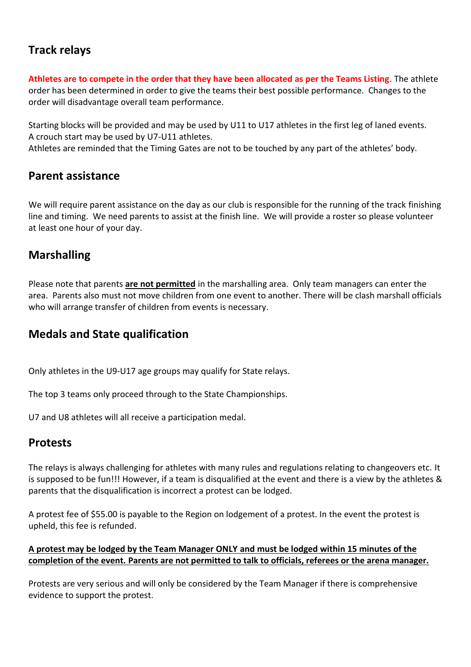## **Track relays**

**Athletes are to compete in the order that they have been allocated as per the Teams Listing**. The athlete order has been determined in order to give the teams their best possible performance. Changes to the order will disadvantage overall team performance.

Starting blocks will be provided and may be used by U11 to U17 athletes in the first leg of laned events. A crouch start may be used by U7-U11 athletes.

Athletes are reminded that the Timing Gates are not to be touched by any part of the athletes' body.

#### **Parent assistance**

We will require parent assistance on the day as our club is responsible for the running of the track finishing line and timing. We need parents to assist at the finish line. We will provide a roster so please volunteer at least one hour of your day.

### **Marshalling**

Please note that parents **are not permitted** in the marshalling area. Only team managers can enter the area. Parents also must not move children from one event to another. There will be clash marshall officials who will arrange transfer of children from events is necessary.

### **Medals and State qualification**

Only athletes in the U9-U17 age groups may qualify for State relays.

The top 3 teams only proceed through to the State Championships.

U7 and U8 athletes will all receive a participation medal.

### **Protests**

The relays is always challenging for athletes with many rules and regulations relating to changeovers etc. It is supposed to be fun!!! However, if a team is disqualified at the event and there is a view by the athletes & parents that the disqualification is incorrect a protest can be lodged.

A protest fee of \$55.00 is payable to the Region on lodgement of a protest. In the event the protest is upheld, this fee is refunded.

#### **A protest may be lodged by the Team Manager ONLY and must be lodged within 15 minutes of the completion of the event. Parents are not permitted to talk to officials, referees or the arena manager.**

Protests are very serious and will only be considered by the Team Manager if there is comprehensive evidence to support the protest.